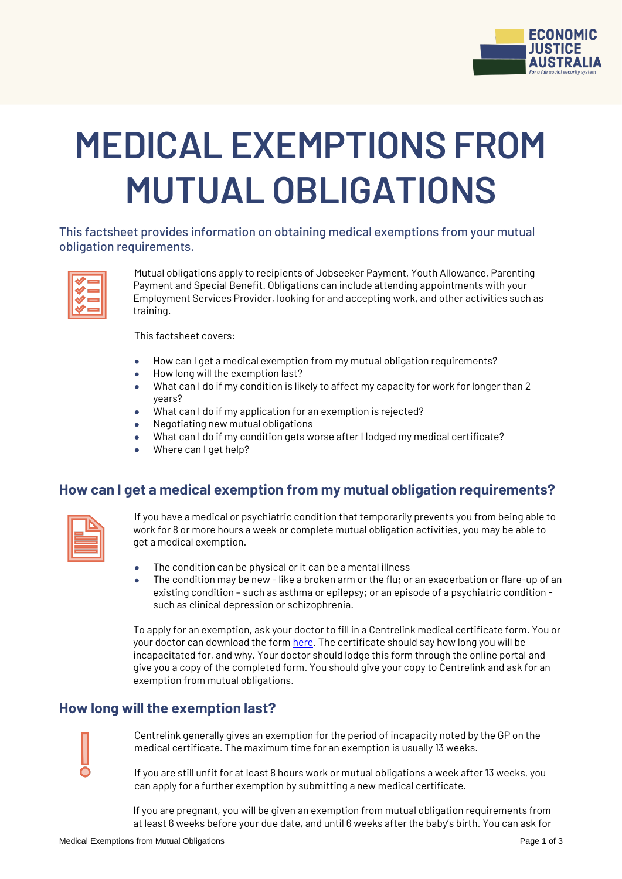

# **MEDICAL EXEMPTIONS FROM MUTUAL OBLIGATIONS**

This factsheet provides information on obtaining medical exemptions from your mutual obligation requirements.

| ٥ | _  |
|---|----|
|   | __ |
|   | _  |
|   | __ |
|   |    |

Mutual obligations apply to recipients of Jobseeker Payment, Youth Allowance, Parenting Payment and Special Benefit. Obligations can include attending appointments with your Employment Services Provider, looking for and accepting work, and other activities such as training.

This factsheet covers:

- How can I get a medical exemption from my mutual obligation requirements?
- How long will the exemption last?
- What can I do if my condition is likely to affect my capacity for work for longer than 2 years?
- What can I do if my application for an exemption is rejected?
- Negotiating new mutual obligations
- What can I do if my condition gets worse after I lodged my medical certificate?
- Where can I get help?

#### **How can I get a medical exemption from my mutual obligation requirements?**

| _<br>_____       |
|------------------|
| _______<br>_____ |
| _______          |

If you have a medical or psychiatric condition that temporarily prevents you from being able to work for 8 or more hours a week or complete mutual obligation activities, you may be able to get a medical exemption.

- The condition can be physical or it can be a mental illness
- The condition may be new like a broken arm or the flu; or an exacerbation or flare-up of an existing condition – such as asthma or epilepsy; or an episode of a psychiatric condition such as clinical depression or schizophrenia.

To apply for an exemption, ask your doctor to fill in a Centrelink medical certificate form. You or your doctor can download the for[m here.](https://www.humanservices.gov.au/organisations/health-professionals/forms/su415) The certificate should say how long you will be incapacitated for, and why. Your doctor should lodge this form through the online portal and give you a copy of the completed form. You should give your copy to Centrelink and ask for an exemption from mutual obligations.

#### **How long will the exemption last?**

Centrelink generally gives an exemption for the period of incapacity noted by the GP on the medical certificate. The maximum time for an exemption is usually 13 weeks.

If you are still unfit for at least 8 hours work or mutual obligations a week after 13 weeks, you can apply for a further exemption by submitting a new medical certificate.

If you are pregnant, you will be given an exemption from mutual obligation requirements from at least 6 weeks before your due date, and until 6 weeks after the baby's birth. You can ask for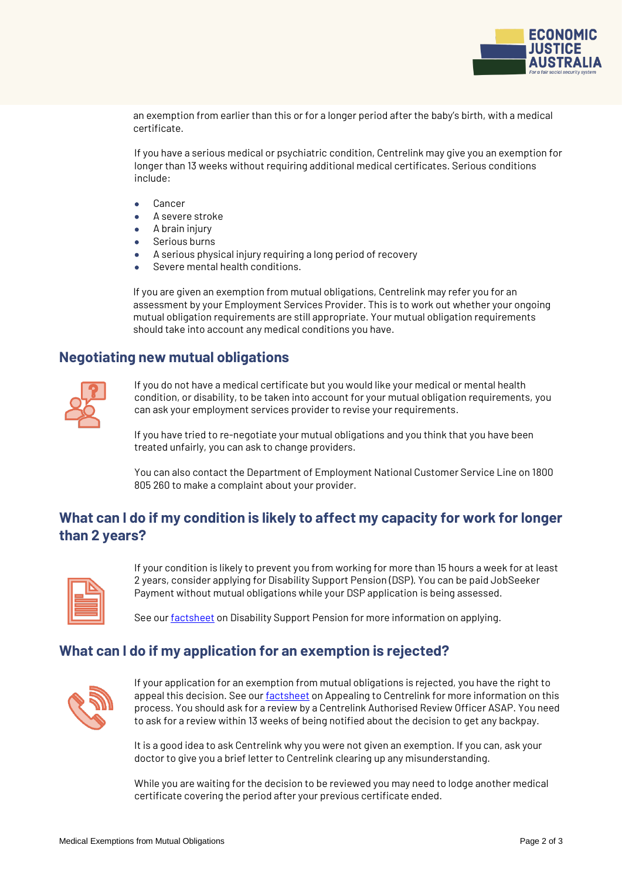

an exemption from earlier than this or for a longer period after the baby's birth, with a medical certificate.

If you have a serious medical or psychiatric condition, Centrelink may give you an exemption for longer than 13 weeks without requiring additional medical certificates. Serious conditions include:

- Cancer
- A severe stroke
- A brain injury
- Serious burns
- A serious physical injury requiring a long period of recovery
- Severe mental health conditions.

If you are given an exemption from mutual obligations, Centrelink may refer you for an assessment by your Employment Services Provider. This is to work out whether your ongoing mutual obligation requirements are still appropriate. Your mutual obligation requirements should take into account any medical conditions you have.

#### **Negotiating new mutual obligations**



If you do not have a medical certificate but you would like your medical or mental health condition, or disability, to be taken into account for your mutual obligation requirements, you can ask your employment services provider to revise your requirements.

If you have tried to re-negotiate your mutual obligations and you think that you have been treated unfairly, you can ask to change providers.

You can also contact the Department of Employment National Customer Service Line on 1800 805 260 to make a complaint about your provider.

## **What can I do if my condition is likely to affect my capacity for work for longer than 2 years?**



If your condition is likely to prevent you from working for more than 15 hours a week for at least 2 years, consider applying for Disability Support Pension (DSP). You can be paid JobSeeker Payment without mutual obligations while your DSP application is being assessed.

See ou[r factsheet](http://ejaustralia.org.au/wp/wp-content/uploads/2020/03/Disability-Support-Pension.pdf) on Disability Support Pension for more information on applying.

### **What can I do if my application for an exemption is rejected?**



If your application for an exemption from mutual obligations is rejected, you have the right to appeal this decision. See ou[r factsheet](https://www.ejaustralia.org.au/wp/self-help/) on Appealing to Centrelink for more information on this process. You should ask for a review by a Centrelink Authorised Review Officer ASAP. You need to ask for a review within 13 weeks of being notified about the decision to get any backpay.

It is a good idea to ask Centrelink why you were not given an exemption. If you can, ask your doctor to give you a brief letter to Centrelink clearing up any misunderstanding.

While you are waiting for the decision to be reviewed you may need to lodge another medical certificate covering the period after your previous certificate ended.